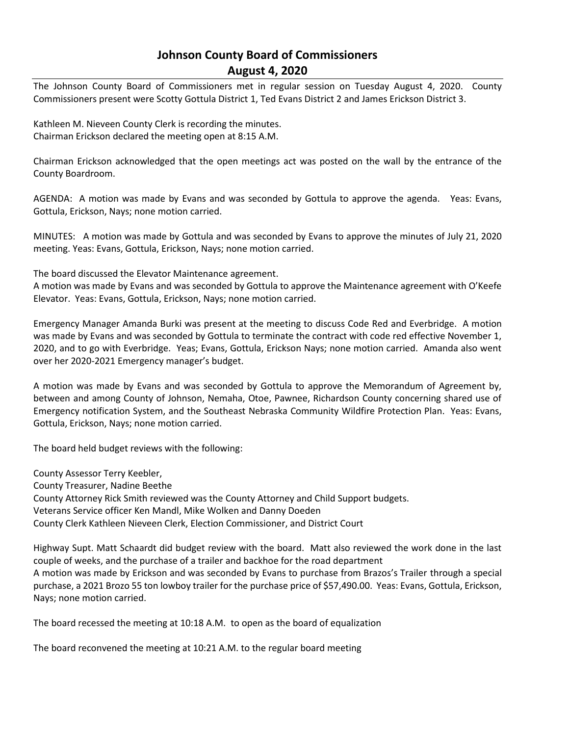## **Johnson County Board of Commissioners August 4, 2020**

The Johnson County Board of Commissioners met in regular session on Tuesday August 4, 2020. County Commissioners present were Scotty Gottula District 1, Ted Evans District 2 and James Erickson District 3.

Kathleen M. Nieveen County Clerk is recording the minutes. Chairman Erickson declared the meeting open at 8:15 A.M.

Chairman Erickson acknowledged that the open meetings act was posted on the wall by the entrance of the County Boardroom.

AGENDA: A motion was made by Evans and was seconded by Gottula to approve the agenda. Yeas: Evans, Gottula, Erickson, Nays; none motion carried.

MINUTES: A motion was made by Gottula and was seconded by Evans to approve the minutes of July 21, 2020 meeting. Yeas: Evans, Gottula, Erickson, Nays; none motion carried.

The board discussed the Elevator Maintenance agreement.

A motion was made by Evans and was seconded by Gottula to approve the Maintenance agreement with O'Keefe Elevator. Yeas: Evans, Gottula, Erickson, Nays; none motion carried.

Emergency Manager Amanda Burki was present at the meeting to discuss Code Red and Everbridge. A motion was made by Evans and was seconded by Gottula to terminate the contract with code red effective November 1, 2020, and to go with Everbridge. Yeas; Evans, Gottula, Erickson Nays; none motion carried. Amanda also went over her 2020-2021 Emergency manager's budget.

A motion was made by Evans and was seconded by Gottula to approve the Memorandum of Agreement by, between and among County of Johnson, Nemaha, Otoe, Pawnee, Richardson County concerning shared use of Emergency notification System, and the Southeast Nebraska Community Wildfire Protection Plan. Yeas: Evans, Gottula, Erickson, Nays; none motion carried.

The board held budget reviews with the following:

County Assessor Terry Keebler, County Treasurer, Nadine Beethe County Attorney Rick Smith reviewed was the County Attorney and Child Support budgets. Veterans Service officer Ken Mandl, Mike Wolken and Danny Doeden County Clerk Kathleen Nieveen Clerk, Election Commissioner, and District Court

Highway Supt. Matt Schaardt did budget review with the board. Matt also reviewed the work done in the last couple of weeks, and the purchase of a trailer and backhoe for the road department A motion was made by Erickson and was seconded by Evans to purchase from Brazos's Trailer through a special purchase, a 2021 Brozo 55 ton lowboy trailer for the purchase price of \$57,490.00. Yeas: Evans, Gottula, Erickson, Nays; none motion carried.

The board recessed the meeting at 10:18 A.M. to open as the board of equalization

The board reconvened the meeting at 10:21 A.M. to the regular board meeting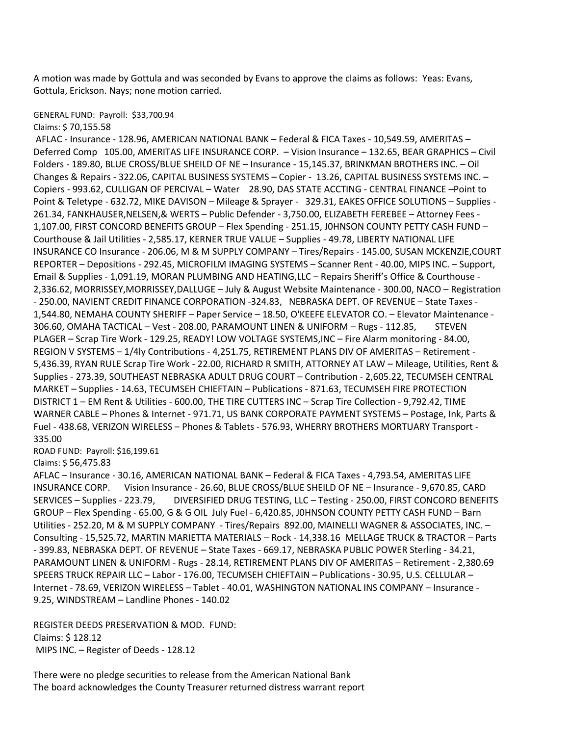A motion was made by Gottula and was seconded by Evans to approve the claims as follows: Yeas: Evans, Gottula, Erickson. Nays; none motion carried.

## GENERAL FUND: Payroll: \$33,700.94

Claims: \$ 70,155.58

AFLAC - Insurance - 128.96, AMERICAN NATIONAL BANK – Federal & FICA Taxes - 10,549.59, AMERITAS – Deferred Comp 105.00, AMERITAS LIFE INSURANCE CORP. – Vision Insurance – 132.65, BEAR GRAPHICS – Civil Folders - 189.80, BLUE CROSS/BLUE SHEILD OF NE – Insurance - 15,145.37, BRINKMAN BROTHERS INC. – Oil Changes & Repairs - 322.06, CAPITAL BUSINESS SYSTEMS – Copier - 13.26, CAPITAL BUSINESS SYSTEMS INC. – Copiers - 993.62, CULLIGAN OF PERCIVAL – Water 28.90, DAS STATE ACCTING - CENTRAL FINANCE –Point to Point & Teletype - 632.72, MIKE DAVISON – Mileage & Sprayer - 329.31, EAKES OFFICE SOLUTIONS – Supplies - 261.34, FANKHAUSER,NELSEN,& WERTS – Public Defender - 3,750.00, ELIZABETH FEREBEE – Attorney Fees - 1,107.00, FIRST CONCORD BENEFITS GROUP – Flex Spending - 251.15, J0HNSON COUNTY PETTY CASH FUND – Courthouse & Jail Utilities - 2,585.17, KERNER TRUE VALUE – Supplies - 49.78, LIBERTY NATIONAL LIFE INSURANCE CO Insurance - 206.06, M & M SUPPLY COMPANY – Tires/Repairs - 145.00, SUSAN MCKENZIE,COURT REPORTER – Depositions - 292.45, MICROFILM IMAGING SYSTEMS – Scanner Rent - 40.00, MIPS INC. – Support, Email & Supplies - 1,091.19, MORAN PLUMBING AND HEATING,LLC – Repairs Sheriff's Office & Courthouse - 2,336.62, MORRISSEY,MORRISSEY,DALLUGE – July & August Website Maintenance - 300.00, NACO – Registration - 250.00, NAVIENT CREDIT FINANCE CORPORATION -324.83, NEBRASKA DEPT. OF REVENUE – State Taxes - 1,544.80, NEMAHA COUNTY SHERIFF – Paper Service – 18.50, O'KEEFE ELEVATOR CO. – Elevator Maintenance - 306.60, OMAHA TACTICAL - Vest - 208.00, PARAMOUNT LINEN & UNIFORM - Rugs - 112.85, STEVEN PLAGER – Scrap Tire Work - 129.25, READY! LOW VOLTAGE SYSTEMS,INC – Fire Alarm monitoring - 84.00, REGION V SYSTEMS – 1/4ly Contributions - 4,251.75, RETIREMENT PLANS DIV OF AMERITAS – Retirement - 5,436.39, RYAN RULE Scrap Tire Work - 22.00, RICHARD R SMITH, ATTORNEY AT LAW – Mileage, Utilities, Rent & Supplies - 273.39, SOUTHEAST NEBRASKA ADULT DRUG COURT – Contribution - 2,605.22, TECUMSEH CENTRAL MARKET – Supplies - 14.63, TECUMSEH CHIEFTAIN – Publications - 871.63, TECUMSEH FIRE PROTECTION DISTRICT 1 – EM Rent & Utilities - 600.00, THE TIRE CUTTERS INC – Scrap Tire Collection - 9,792.42, TIME WARNER CABLE – Phones & Internet - 971.71, US BANK CORPORATE PAYMENT SYSTEMS – Postage, Ink, Parts & Fuel - 438.68, VERIZON WIRELESS – Phones & Tablets - 576.93, WHERRY BROTHERS MORTUARY Transport - 335.00

ROAD FUND: Payroll: \$16,199.61

Claims: \$ 56,475.83

AFLAC – Insurance - 30.16, AMERICAN NATIONAL BANK – Federal & FICA Taxes - 4,793.54, AMERITAS LIFE INSURANCE CORP. Vision Insurance - 26.60, BLUE CROSS/BLUE SHEILD OF NE – Insurance - 9,670.85, CARD SERVICES – Supplies - 223.79, DIVERSIFIED DRUG TESTING, LLC – Testing - 250.00, FIRST CONCORD BENEFITS GROUP – Flex Spending - 65.00, G & G OIL July Fuel - 6,420.85, J0HNSON COUNTY PETTY CASH FUND – Barn Utilities - 252.20, M & M SUPPLY COMPANY - Tires/Repairs 892.00, MAINELLI WAGNER & ASSOCIATES, INC. – Consulting - 15,525.72, MARTIN MARIETTA MATERIALS – Rock - 14,338.16 MELLAGE TRUCK & TRACTOR – Parts - 399.83, NEBRASKA DEPT. OF REVENUE – State Taxes - 669.17, NEBRASKA PUBLIC POWER Sterling - 34.21, PARAMOUNT LINEN & UNIFORM - Rugs - 28.14, RETIREMENT PLANS DIV OF AMERITAS – Retirement - 2,380.69 SPEERS TRUCK REPAIR LLC – Labor - 176.00, TECUMSEH CHIEFTAIN – Publications - 30.95, U.S. CELLULAR – Internet - 78.69, VERIZON WIRELESS – Tablet - 40.01, WASHINGTON NATIONAL INS COMPANY – Insurance - 9.25, WINDSTREAM – Landline Phones - 140.02

REGISTER DEEDS PRESERVATION & MOD. FUND: Claims: \$ 128.12 MIPS INC. – Register of Deeds - 128.12

There were no pledge securities to release from the American National Bank The board acknowledges the County Treasurer returned distress warrant report